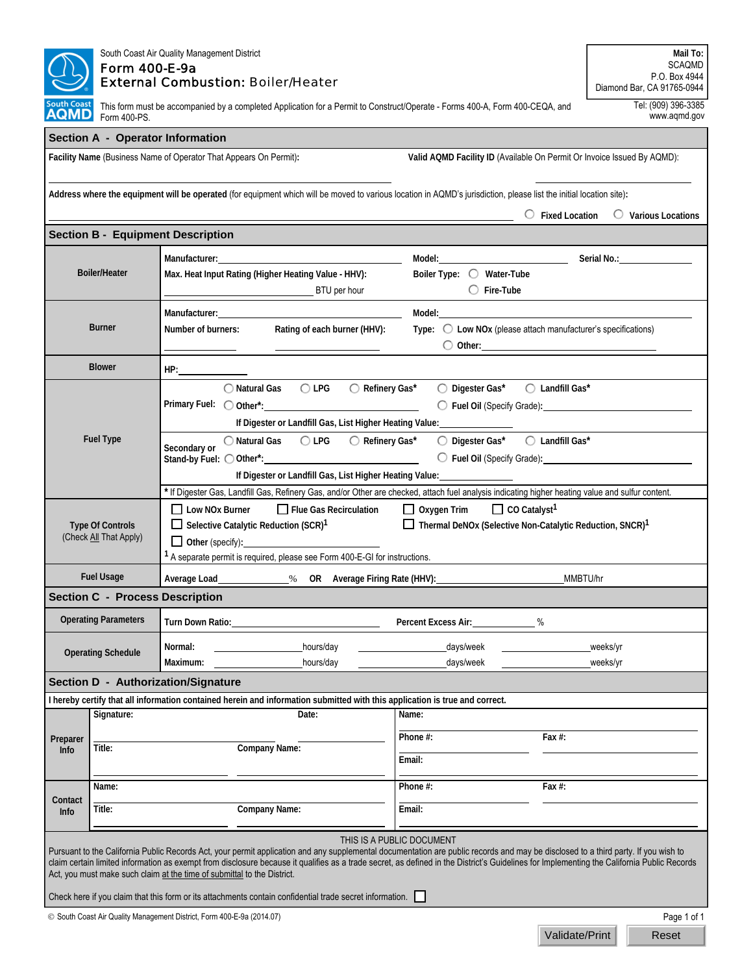|                                                   | South Coast Air Quality Management District<br><b>Form 400-E-9a</b><br><b>External Combustion: Boiler/Heater</b> | Mail To:<br><b>SCAQMD</b><br>P.O. Box 4944<br>Diamond Bar, CA 91765-0944                                                                                                                                                                                                                                                                                                                                                                                                                                                                                                |                                                                                                                                                                                                                                |                                                  |  |  |  |  |
|---------------------------------------------------|------------------------------------------------------------------------------------------------------------------|-------------------------------------------------------------------------------------------------------------------------------------------------------------------------------------------------------------------------------------------------------------------------------------------------------------------------------------------------------------------------------------------------------------------------------------------------------------------------------------------------------------------------------------------------------------------------|--------------------------------------------------------------------------------------------------------------------------------------------------------------------------------------------------------------------------------|--------------------------------------------------|--|--|--|--|
| <b>South Coast</b><br><b>AQMD</b>                 | Form 400-PS.                                                                                                     | Tel: (909) 396-3385<br>This form must be accompanied by a completed Application for a Permit to Construct/Operate - Forms 400-A, Form 400-CEQA, and<br>www.aqmd.gov                                                                                                                                                                                                                                                                                                                                                                                                     |                                                                                                                                                                                                                                |                                                  |  |  |  |  |
|                                                   |                                                                                                                  | <b>Section A - Operator Information</b>                                                                                                                                                                                                                                                                                                                                                                                                                                                                                                                                 |                                                                                                                                                                                                                                |                                                  |  |  |  |  |
|                                                   |                                                                                                                  | Facility Name (Business Name of Operator That Appears On Permit):                                                                                                                                                                                                                                                                                                                                                                                                                                                                                                       | Valid AQMD Facility ID (Available On Permit Or Invoice Issued By AQMD):                                                                                                                                                        |                                                  |  |  |  |  |
|                                                   |                                                                                                                  | Address where the equipment will be operated (for equipment which will be moved to various location in AQMD's jurisdiction, please list the initial location site):                                                                                                                                                                                                                                                                                                                                                                                                     |                                                                                                                                                                                                                                | $\circ$ Fixed Location $\circ$ Various Locations |  |  |  |  |
|                                                   |                                                                                                                  | <b>Section B - Equipment Description</b>                                                                                                                                                                                                                                                                                                                                                                                                                                                                                                                                |                                                                                                                                                                                                                                |                                                  |  |  |  |  |
|                                                   |                                                                                                                  | Manufacturer: National Accounts and Accounts and Accounts and Accounts and Accounts and Accounts and Accounts and Accounts and Accounts and Accounts and Accounts and Accounts and Accounts and Accounts and Accounts and Acco                                                                                                                                                                                                                                                                                                                                          | Model: Model: Note and Model Serial No.: Note and Model Serial No.: Note and Model Serial No.: Note and Model Serial No.: Note and Model Serial No.: Note and Model Serial No.: Note and Model Serial No.: Note and Model Seri |                                                  |  |  |  |  |
| <b>Boiler/Heater</b>                              |                                                                                                                  | Max. Heat Input Rating (Higher Heating Value - HHV):<br>BTU per hour                                                                                                                                                                                                                                                                                                                                                                                                                                                                                                    | Boiler Type: O Water-Tube<br>$\bigcirc$ Fire-Tube                                                                                                                                                                              |                                                  |  |  |  |  |
|                                                   |                                                                                                                  | Manufacturer: National Accounts and Accounts and Accounts and Accounts and Accounts and Accounts and Accounts and Accounts and Accounts and Accounts and Accounts and Accounts and Accounts and Accounts and Accounts and Acco                                                                                                                                                                                                                                                                                                                                          | Model: with a state of the state of the state of the state of the state of the state of the state of the state of the state of the state of the state of the state of the state of the state of the state of the state of the  |                                                  |  |  |  |  |
| <b>Burner</b>                                     |                                                                                                                  | Rating of each burner (HHV):<br>Number of burners:                                                                                                                                                                                                                                                                                                                                                                                                                                                                                                                      | Type: $\bigcirc$ Low NOx (please attach manufacturer's specifications)<br>$\bigcirc$ Other:                                                                                                                                    |                                                  |  |  |  |  |
|                                                   | <b>Blower</b>                                                                                                    |                                                                                                                                                                                                                                                                                                                                                                                                                                                                                                                                                                         |                                                                                                                                                                                                                                |                                                  |  |  |  |  |
|                                                   |                                                                                                                  | $\bigcirc$ LPG<br>◯ Refinery Gas*<br>◯ Natural Gas<br>○ Digester Gas* ○ Landfill Gas*<br>O Fuel Oil (Specify Grade): Note that the set of the set of the set of the set of the set of the set of the set of the set of the set of the set of the set of the set of the set of the set of the set of the set of the set<br>If Digester or Landfill Gas, List Higher Heating Value:<br>                                                                                                                                                                                   |                                                                                                                                                                                                                                |                                                  |  |  |  |  |
| <b>Fuel Type</b>                                  |                                                                                                                  | ○ Digester Gas* ○ Landfill Gas*<br>Secondary or<br>Stand-by Fuel: O Other*: 1997-1997<br>If Digester or Landfill Gas, List Higher Heating Value: 1990 1991                                                                                                                                                                                                                                                                                                                                                                                                              |                                                                                                                                                                                                                                |                                                  |  |  |  |  |
| <b>Type Of Controls</b><br>(Check All That Apply) |                                                                                                                  | * If Digester Gas, Landfill Gas, Refinery Gas, and/or Other are checked, attach fuel analysis indicating higher heating value and sulfur content.<br>Flue Gas Recirculation<br>$\Box$ Oxygen Trim<br>$\Box$ CO Catalyst <sup>1</sup><br>$\Box$ Low NOx Burner<br>Thermal DeNOx (Selective Non-Catalytic Reduction, SNCR) <sup>1</sup><br>$\Box$ Selective Catalytic Reduction (SCR) <sup>1</sup><br>$\Box$ Other (specify):<br><sup>1</sup> A separate permit is required, please see Form 400-E-GI for instructions.                                                   |                                                                                                                                                                                                                                |                                                  |  |  |  |  |
|                                                   | <b>Fuel Usage</b>                                                                                                | Average Load______________% OR Average Firing Rate (HHV):_______________________<br>MMBTU/hr                                                                                                                                                                                                                                                                                                                                                                                                                                                                            |                                                                                                                                                                                                                                |                                                  |  |  |  |  |
|                                                   | <b>Section C - Process Description</b>                                                                           |                                                                                                                                                                                                                                                                                                                                                                                                                                                                                                                                                                         |                                                                                                                                                                                                                                |                                                  |  |  |  |  |
|                                                   | <b>Operating Parameters</b>                                                                                      | Turn Down Ratio:                                                                                                                                                                                                                                                                                                                                                                                                                                                                                                                                                        | Percent Excess Air:<br>$\%$                                                                                                                                                                                                    |                                                  |  |  |  |  |
|                                                   | <b>Operating Schedule</b>                                                                                        | hours/day<br>Normal:<br>hours/day<br>Maximum:                                                                                                                                                                                                                                                                                                                                                                                                                                                                                                                           | days/week                                                                                                                                                                                                                      | weeks/yr                                         |  |  |  |  |
|                                                   |                                                                                                                  | Section D - Authorization/Signature                                                                                                                                                                                                                                                                                                                                                                                                                                                                                                                                     | days/week                                                                                                                                                                                                                      | weeks/yr                                         |  |  |  |  |
|                                                   |                                                                                                                  | I hereby certify that all information contained herein and information submitted with this application is true and correct.                                                                                                                                                                                                                                                                                                                                                                                                                                             |                                                                                                                                                                                                                                |                                                  |  |  |  |  |
|                                                   | Signature:                                                                                                       | Date:                                                                                                                                                                                                                                                                                                                                                                                                                                                                                                                                                                   | Name:                                                                                                                                                                                                                          |                                                  |  |  |  |  |
| Preparer<br>Info                                  |                                                                                                                  |                                                                                                                                                                                                                                                                                                                                                                                                                                                                                                                                                                         | Phone #:<br>Fax $#$ :                                                                                                                                                                                                          |                                                  |  |  |  |  |
|                                                   | Title:                                                                                                           | Company Name:                                                                                                                                                                                                                                                                                                                                                                                                                                                                                                                                                           | Email:                                                                                                                                                                                                                         |                                                  |  |  |  |  |
|                                                   | Name:                                                                                                            |                                                                                                                                                                                                                                                                                                                                                                                                                                                                                                                                                                         | Phone #:<br>Fax $#$ :                                                                                                                                                                                                          |                                                  |  |  |  |  |
| Contact<br>Info                                   | Title:                                                                                                           | Company Name:                                                                                                                                                                                                                                                                                                                                                                                                                                                                                                                                                           | Email:                                                                                                                                                                                                                         |                                                  |  |  |  |  |
|                                                   |                                                                                                                  | Pursuant to the California Public Records Act, your permit application and any supplemental documentation are public records and may be disclosed to a third party. If you wish to<br>claim certain limited information as exempt from disclosure because it qualifies as a trade secret, as defined in the District's Guidelines for Implementing the California Public Records<br>Act, you must make such claim at the time of submittal to the District.<br>Check here if you claim that this form or its attachments contain confidential trade secret information. | THIS IS A PUBLIC DOCUMENT                                                                                                                                                                                                      |                                                  |  |  |  |  |
|                                                   |                                                                                                                  | © South Coast Air Quality Management District, Form 400-E-9a (2014.07)                                                                                                                                                                                                                                                                                                                                                                                                                                                                                                  |                                                                                                                                                                                                                                | Page 1 of 1                                      |  |  |  |  |
|                                                   |                                                                                                                  |                                                                                                                                                                                                                                                                                                                                                                                                                                                                                                                                                                         | Validate/Print                                                                                                                                                                                                                 | Reset                                            |  |  |  |  |